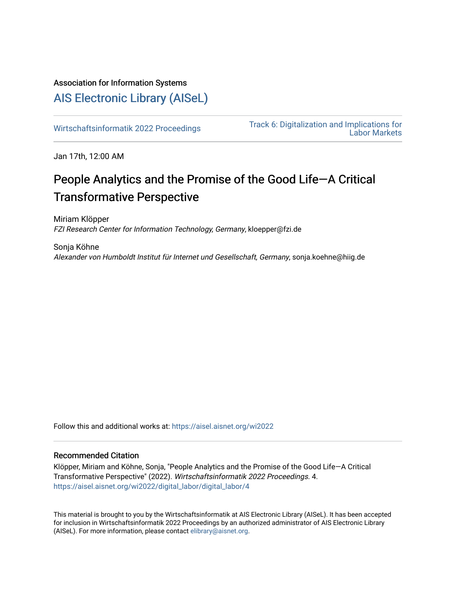## Association for Information Systems

## [AIS Electronic Library \(AISeL\)](https://aisel.aisnet.org/)

[Wirtschaftsinformatik 2022 Proceedings](https://aisel.aisnet.org/wi2022) Track 6: Digitalization and Implications for [Labor Markets](https://aisel.aisnet.org/wi2022/digital_labor) 

Jan 17th, 12:00 AM

# People Analytics and the Promise of the Good Life—A Critical Transformative Perspective

Miriam Klöpper FZI Research Center for Information Technology, Germany, kloepper@fzi.de

Sonja Köhne Alexander von Humboldt Institut für Internet und Gesellschaft, Germany, sonja.koehne@hiig.de

Follow this and additional works at: [https://aisel.aisnet.org/wi2022](https://aisel.aisnet.org/wi2022?utm_source=aisel.aisnet.org%2Fwi2022%2Fdigital_labor%2Fdigital_labor%2F4&utm_medium=PDF&utm_campaign=PDFCoverPages) 

## Recommended Citation

Klöpper, Miriam and Köhne, Sonja, "People Analytics and the Promise of the Good Life—A Critical Transformative Perspective" (2022). Wirtschaftsinformatik 2022 Proceedings. 4. [https://aisel.aisnet.org/wi2022/digital\\_labor/digital\\_labor/4](https://aisel.aisnet.org/wi2022/digital_labor/digital_labor/4?utm_source=aisel.aisnet.org%2Fwi2022%2Fdigital_labor%2Fdigital_labor%2F4&utm_medium=PDF&utm_campaign=PDFCoverPages)

This material is brought to you by the Wirtschaftsinformatik at AIS Electronic Library (AISeL). It has been accepted for inclusion in Wirtschaftsinformatik 2022 Proceedings by an authorized administrator of AIS Electronic Library (AISeL). For more information, please contact [elibrary@aisnet.org](mailto:elibrary@aisnet.org%3E).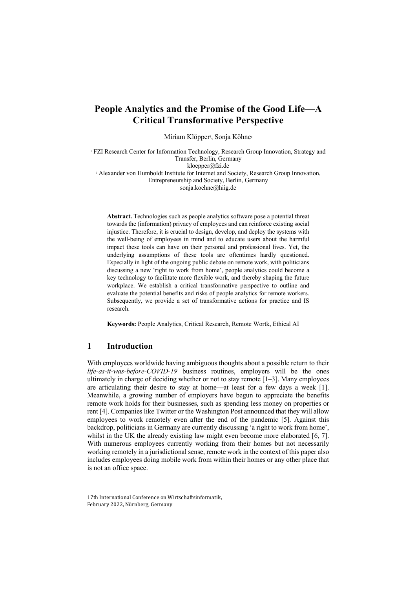## **People Analytics and the Promise of the Good Life—A Critical Transformative Perspective**

Miriam Klöpper<sup>1</sup>, Sonja Köhne<sup>2</sup>

<sup>1</sup> FZI Research Center for Information Technology, Research Group Innovation, Strategy and Transfer, Berlin, Germany kloepper@fzi.de <sup>2</sup> Alexander von Humboldt Institute for Internet and Society, Research Group Innovation, Entrepreneurship and Society, Berlin, Germany sonja.koehne@hiig.de

**Abstract.** Technologies such as people analytics software pose a potential threat towards the (information) privacy of employees and can reinforce existing social injustice. Therefore, it is crucial to design, develop, and deploy the systems with the well-being of employees in mind and to educate users about the harmful impact these tools can have on their personal and professional lives. Yet, the underlying assumptions of these tools are oftentimes hardly questioned. Especially in light of the ongoing public debate on remote work, with politicians discussing a new 'right to work from home', people analytics could become a key technology to facilitate more flexible work, and thereby shaping the future workplace. We establish a critical transformative perspective to outline and evaluate the potential benefits and risks of people analytics for remote workers. Subsequently, we provide a set of transformative actions for practice and IS research.

**Keywords:** People Analytics, Critical Research, Remote Wortk, Ethical AI

## **1 Introduction**

With employees worldwide having ambiguous thoughts about a possible return to their *life-as-it-was-before-COVID-19* business routines, employers will be the ones ultimately in charge of deciding whether or not to stay remote [1–3]. Many employees are articulating their desire to stay at home—at least for a few days a week [1]. Meanwhile, a growing number of employers have begun to appreciate the benefits remote work holds for their businesses, such as spending less money on properties or rent [4]. Companies like Twitter or the Washington Post announced that they will allow employees to work remotely even after the end of the pandemic [5]. Against this backdrop, politicians in Germany are currently discussing 'a right to work from home', whilst in the UK the already existing law might even become more elaborated [6, 7]. With numerous employees currently working from their homes but not necessarily working remotely in a jurisdictional sense, remote work in the context of this paper also includes employees doing mobile work from within their homes or any other place that is not an office space.

17th International Conference on Wirtschaftsinformatik, February 2022, Nürnberg, Germany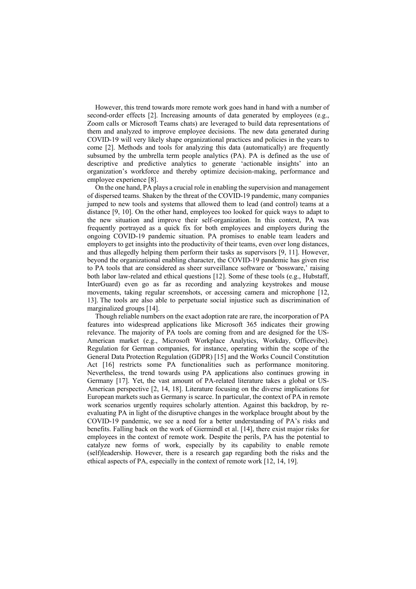However, this trend towards more remote work goes hand in hand with a number of second-order effects [2]. Increasing amounts of data generated by employees (e.g., Zoom calls or Microsoft Teams chats) are leveraged to build data representations of them and analyzed to improve employee decisions. The new data generated during COVID-19 will very likely shape organizational practices and policies in the years to come [2]. Methods and tools for analyzing this data (automatically) are frequently subsumed by the umbrella term people analytics (PA). PA is defined as the use of descriptive and predictive analytics to generate 'actionable insights' into an organization's workforce and thereby optimize decision-making, performance and employee experience [8].

On the one hand, PA plays a crucial role in enabling the supervision and management of dispersed teams. Shaken by the threat of the COVID-19 pandemic, many companies jumped to new tools and systems that allowed them to lead (and control) teams at a distance [9, 10]. On the other hand, employees too looked for quick ways to adapt to the new situation and improve their self-organization. In this context, PA was frequently portrayed as a quick fix for both employees and employers during the ongoing COVID-19 pandemic situation. PA promises to enable team leaders and employers to get insights into the productivity of their teams, even over long distances, and thus allegedly helping them perform their tasks as supervisors [9, 11]. However, beyond the organizational enabling character, the COVID-19 pandemic has given rise to PA tools that are considered as sheer surveillance software or 'bossware,' raising both labor law-related and ethical questions [12]. Some of these tools (e.g., Hubstaff, InterGuard) even go as far as recording and analyzing keystrokes and mouse movements, taking regular screenshots, or accessing camera and microphone [12, 13]. The tools are also able to perpetuate social injustice such as discrimination of marginalized groups [14].

Though reliable numbers on the exact adoption rate are rare, the incorporation of PA features into widespread applications like Microsoft 365 indicates their growing relevance. The majority of PA tools are coming from and are designed for the US-American market (e.g., Microsoft Workplace Analytics, Workday, Officevibe). Regulation for German companies, for instance, operating within the scope of the General Data Protection Regulation (GDPR) [15] and the Works Council Constitution Act [16] restricts some PA functionalities such as performance monitoring. Nevertheless, the trend towards using PA applications also continues growing in Germany [17]. Yet, the vast amount of PA-related literature takes a global or US-American perspective [2, 14, 18]. Literature focusing on the diverse implications for European markets such as Germany is scarce. In particular, the context of PA in remote work scenarios urgently requires scholarly attention. Against this backdrop, by reevaluating PA in light of the disruptive changes in the workplace brought about by the COVID-19 pandemic, we see a need for a better understanding of PA's risks and benefits. Falling back on the work of Giermindl et al. [14], there exist major risks for employees in the context of remote work. Despite the perils, PA has the potential to catalyze new forms of work, especially by its capability to enable remote (self)leadership. However, there is a research gap regarding both the risks and the ethical aspects of PA, especially in the context of remote work [12, 14, 19].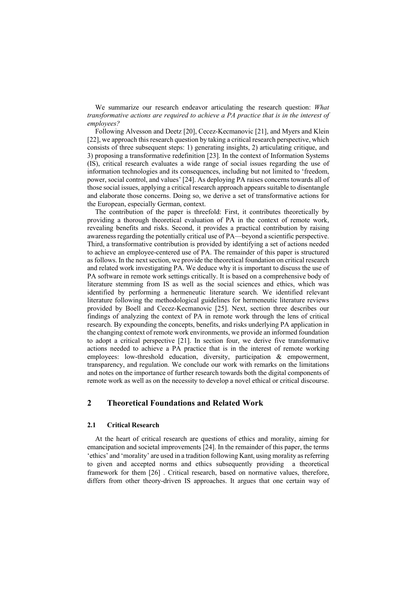We summarize our research endeavor articulating the research question: *What transformative actions are required to achieve a PA practice that is in the interest of employees?*

Following Alvesson and Deetz [20], Cecez-Kecmanovic [21], and Myers and Klein [22], we approach this research question by taking a critical research perspective, which consists of three subsequent steps: 1) generating insights, 2) articulating critique, and 3) proposing a transformative redefinition [23]. In the context of Information Systems (IS), critical research evaluates a wide range of social issues regarding the use of information technologies and its consequences, including but not limited to 'freedom, power, social control, and values' [24]. As deploying PA raises concerns towards all of those social issues, applying a critical research approach appears suitable to disentangle and elaborate those concerns. Doing so, we derive a set of transformative actions for the European, especially German, context.

The contribution of the paper is threefold: First, it contributes theoretically by providing a thorough theoretical evaluation of PA in the context of remote work, revealing benefits and risks. Second, it provides a practical contribution by raising awareness regarding the potentially critical use of PA—beyond a scientific perspective. Third, a transformative contribution is provided by identifying a set of actions needed to achieve an employee-centered use of PA. The remainder of this paper is structured as follows. In the next section, we provide the theoretical foundation on critical research and related work investigating PA. We deduce why it is important to discuss the use of PA software in remote work settings critically. It is based on a comprehensive body of literature stemming from IS as well as the social sciences and ethics, which was identified by performing a hermeneutic literature search. We identified relevant literature following the methodological guidelines for hermeneutic literature reviews provided by Boell and Cecez-Kecmanovic [25]. Next, section three describes our findings of analyzing the context of PA in remote work through the lens of critical research. By expounding the concepts, benefits, and risks underlying PA application in the changing context of remote work environments, we provide an informed foundation to adopt a critical perspective [21]. In section four, we derive five transformative actions needed to achieve a PA practice that is in the interest of remote working employees: low-threshold education, diversity, participation & empowerment, transparency, and regulation. We conclude our work with remarks on the limitations and notes on the importance of further research towards both the digital components of remote work as well as on the necessity to develop a novel ethical or critical discourse.

## **2 Theoretical Foundations and Related Work**

#### **2.1 Critical Research**

At the heart of critical research are questions of ethics and morality, aiming for emancipation and societal improvements [24]. In the remainder of this paper, the terms 'ethics' and 'morality' are used in a tradition following Kant, using morality as referring to given and accepted norms and ethics subsequently providing a theoretical framework for them [26] . Critical research, based on normative values, therefore, differs from other theory-driven IS approaches. It argues that one certain way of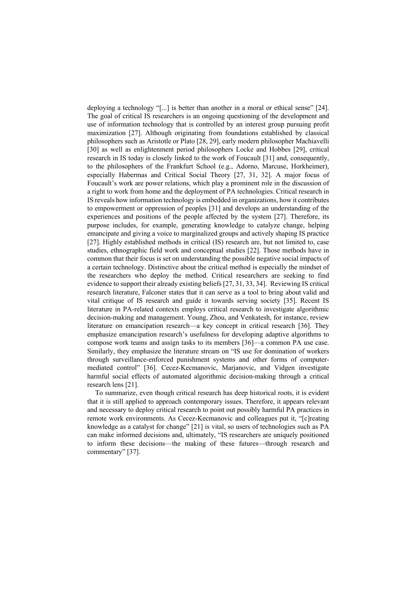deploying a technology "[...] is better than another in a moral or ethical sense" [24]. The goal of critical IS researchers is an ongoing questioning of the development and use of information technology that is controlled by an interest group pursuing profit maximization [27]. Although originating from foundations established by classical philosophers such as Aristotle or Plato [28, 29], early modern philosopher Machiavelli [30] as well as enlightenment period philosophers Locke and Hobbes [29], critical research in IS today is closely linked to the work of Foucault [31] and, consequently, to the philosophers of the Frankfurt School (e.g., Adorno, Marcuse, Horkheimer), especially Habermas and Critical Social Theory [27, 31, 32]. A major focus of Foucault's work are power relations, which play a prominent role in the discussion of a right to work from home and the deployment of PA technologies. Critical research in IS reveals how information technology is embedded in organizations, how it contributes to empowerment or oppression of peoples [31] and develops an understanding of the experiences and positions of the people affected by the system [27]. Therefore, its purpose includes, for example, generating knowledge to catalyze change, helping emancipate and giving a voice to marginalized groups and actively shaping IS practice [27]. Highly established methods in critical (IS) research are, but not limited to, case studies, ethnographic field work and conceptual studies [22]. Those methods have in common that their focus is set on understanding the possible negative social impacts of a certain technology. Distinctive about the critical method is especially the mindset of the researchers who deploy the method. Critical researchers are seeking to find evidence to support their already existing beliefs [27, 31, 33, 34]. Reviewing IS critical research literature, Falconer states that it can serve as a tool to bring about valid and vital critique of IS research and guide it towards serving society [35]. Recent IS literature in PA-related contexts employs critical research to investigate algorithmic decision-making and management. Young, Zhou, and Venkatesh, for instance, review literature on emancipation research—a key concept in critical research [36]. They emphasize emancipation research's usefulness for developing adaptive algorithms to compose work teams and assign tasks to its members [36]—a common PA use case. Similarly, they emphasize the literature stream on "IS use for domination of workers through surveillance-enforced punishment systems and other forms of computermediated control" [36]. Cecez-Kecmanovic, Marjanovic, and Vidgen investigate harmful social effects of automated algorithmic decision-making through a critical research lens [21].

To summarize, even though critical research has deep historical roots, it is evident that it is still applied to approach contemporary issues. Therefore, it appears relevant and necessary to deploy critical research to point out possibly harmful PA practices in remote work environments. As Cecez-Kecmanovic and colleagues put it, "[c]reating knowledge as a catalyst for change" [21] is vital, so users of technologies such as PA can make informed decisions and, ultimately, "IS researchers are uniquely positioned to inform these decisions—the making of these futures—through research and commentary" [37].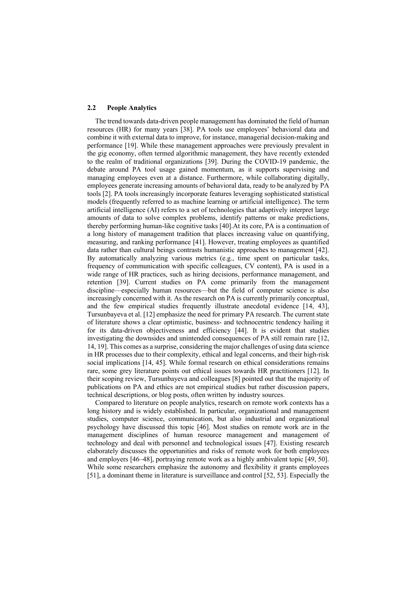#### **2.2 People Analytics**

The trend towards data-driven people management has dominated the field of human resources (HR) for many years [38]. PA tools use employees' behavioral data and combine it with external data to improve, for instance, managerial decision-making and performance [19]. While these management approaches were previously prevalent in the gig economy, often termed algorithmic management, they have recently extended to the realm of traditional organizations [39]. During the COVID-19 pandemic, the debate around PA tool usage gained momentum, as it supports supervising and managing employees even at a distance. Furthermore, while collaborating digitally, employees generate increasing amounts of behavioral data, ready to be analyzed by PA tools [2]. PA tools increasingly incorporate features leveraging sophisticated statistical models (frequently referred to as machine learning or artificial intelligence). The term artificial intelligence (AI) refers to a set of technologies that adaptively interpret large amounts of data to solve complex problems, identify patterns or make predictions, thereby performing human-like cognitive tasks [40].At its core, PA is a continuation of a long history of management tradition that places increasing value on quantifying, measuring, and ranking performance [41]. However, treating employees as quantified data rather than cultural beings contrasts humanistic approaches to management [42]. By automatically analyzing various metrics (e.g., time spent on particular tasks, frequency of communication with specific colleagues, CV content), PA is used in a wide range of HR practices, such as hiring decisions, performance management, and retention [39]. Current studies on PA come primarily from the management discipline—especially human resources—but the field of computer science is also increasingly concerned with it. As the research on PA is currently primarily conceptual, and the few empirical studies frequently illustrate anecdotal evidence [14, 43], Tursunbayeva et al. [12] emphasize the need for primary PA research. The current state of literature shows a clear optimistic, business- and technocentric tendency hailing it for its data-driven objectiveness and efficiency [44]. It is evident that studies investigating the downsides and unintended consequences of PA still remain rare [12, 14, 19]. This comes as a surprise, considering the major challenges of using data science in HR processes due to their complexity, ethical and legal concerns, and their high-risk social implications [14, 45]. While formal research on ethical considerations remains rare, some grey literature points out ethical issues towards HR practitioners [12]. In their scoping review, Tursunbayeva and colleagues [8] pointed out that the majority of publications on PA and ethics are not empirical studies but rather discussion papers, technical descriptions, or blog posts, often written by industry sources.

Compared to literature on people analytics, research on remote work contexts has a long history and is widely established. In particular, organizational and management studies, computer science, communication, but also industrial and organizational psychology have discussed this topic [46]. Most studies on remote work are in the management disciplines of human resource management and management of technology and deal with personnel and technological issues [47]. Existing research elaborately discusses the opportunities and risks of remote work for both employees and employers [46–48], portraying remote work as a highly ambivalent topic [49, 50]. While some researchers emphasize the autonomy and flexibility it grants employees [51], a dominant theme in literature is surveillance and control [52, 53]. Especially the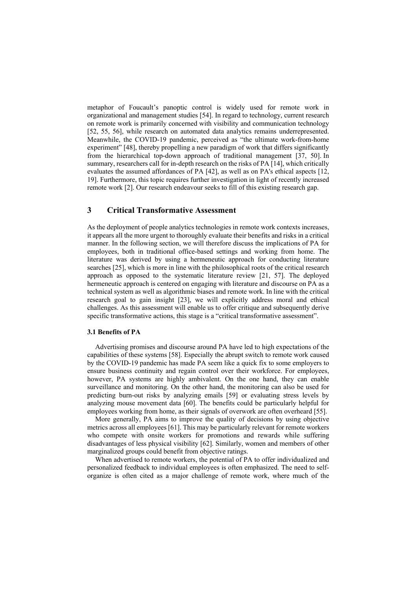metaphor of Foucault's panoptic control is widely used for remote work in organizational and management studies [54]. In regard to technology, current research on remote work is primarily concerned with visibility and communication technology [52, 55, 56], while research on automated data analytics remains underrepresented. Meanwhile, the COVID-19 pandemic, perceived as "the ultimate work-from-home experiment" [48], thereby propelling a new paradigm of work that differs significantly from the hierarchical top-down approach of traditional management [37, 50]. In summary, researchers call for in-depth research on the risks of PA [14], which critically evaluates the assumed affordances of PA [42], as well as on PA's ethical aspects [12, 19]. Furthermore, this topic requires further investigation in light of recently increased remote work [2]. Our research endeavour seeks to fill of this existing research gap.

## **3 Critical Transformative Assessment**

As the deployment of people analytics technologies in remote work contexts increases, it appears all the more urgent to thoroughly evaluate their benefits and risks in a critical manner. In the following section, we will therefore discuss the implications of PA for employees, both in traditional office-based settings and working from home. The literature was derived by using a hermeneutic approach for conducting literature searches [25], which is more in line with the philosophical roots of the critical research approach as opposed to the systematic literature review [21, 57]. The deployed hermeneutic approach is centered on engaging with literature and discourse on PA as a technical system as well as algorithmic biases and remote work. In line with the critical research goal to gain insight [23], we will explicitly address moral and ethical challenges. As this assessment will enable us to offer critique and subsequently derive specific transformative actions, this stage is a "critical transformative assessment".

#### **3.1 Benefits of PA**

Advertising promises and discourse around PA have led to high expectations of the capabilities of these systems [58]. Especially the abrupt switch to remote work caused by the COVID-19 pandemic has made PA seem like a quick fix to some employers to ensure business continuity and regain control over their workforce. For employees, however, PA systems are highly ambivalent. On the one hand, they can enable surveillance and monitoring. On the other hand, the monitoring can also be used for predicting burn-out risks by analyzing emails [59] or evaluating stress levels by analyzing mouse movement data [60]. The benefits could be particularly helpful for employees working from home, as their signals of overwork are often overheard [55].

More generally, PA aims to improve the quality of decisions by using objective metrics across all employees [61]. This may be particularly relevant for remote workers who compete with onsite workers for promotions and rewards while suffering disadvantages of less physical visibility [62]. Similarly, women and members of other marginalized groups could benefit from objective ratings.

When advertised to remote workers, the potential of PA to offer individualized and personalized feedback to individual employees is often emphasized. The need to selforganize is often cited as a major challenge of remote work, where much of the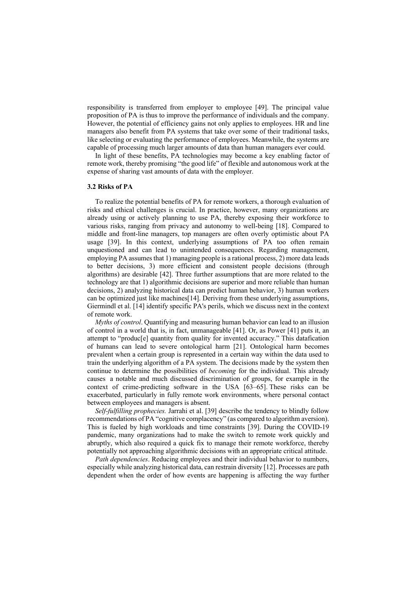responsibility is transferred from employer to employee [49]. The principal value proposition of PA is thus to improve the performance of individuals and the company. However, the potential of efficiency gains not only applies to employees. HR and line managers also benefit from PA systems that take over some of their traditional tasks, like selecting or evaluating the performance of employees. Meanwhile, the systems are capable of processing much larger amounts of data than human managers ever could.

In light of these benefits, PA technologies may become a key enabling factor of remote work, thereby promising "the good life" of flexible and autonomous work at the expense of sharing vast amounts of data with the employer.

#### **3.2 Risks of PA**

To realize the potential benefits of PA for remote workers, a thorough evaluation of risks and ethical challenges is crucial. In practice, however, many organizations are already using or actively planning to use PA, thereby exposing their workforce to various risks, ranging from privacy and autonomy to well-being [18]. Compared to middle and front-line managers, top managers are often overly optimistic about PA usage [39]. In this context, underlying assumptions of PA too often remain unquestioned and can lead to unintended consequences. Regarding management, employing PA assumes that 1) managing people is a rational process, 2) more data leads to better decisions, 3) more efficient and consistent people decisions (through algorithms) are desirable [42]. Three further assumptions that are more related to the technology are that 1) algorithmic decisions are superior and more reliable than human decisions, 2) analyzing historical data can predict human behavior, 3) human workers can be optimized just like machines[14]. Deriving from these underlying assumptions, Giermindl et al. [14] identify specific PA's perils, which we discuss next in the context of remote work.

*Myths of control*. Quantifying and measuring human behavior can lead to an illusion of control in a world that is, in fact, unmanageable [41]. Or, as Power [41] puts it, an attempt to "produc[e] quantity from quality for invented accuracy." This datafication of humans can lead to severe ontological harm [21]. Ontological harm becomes prevalent when a certain group is represented in a certain way within the data used to train the underlying algorithm of a PA system. The decisions made by the system then continue to determine the possibilities of *becoming* for the individual. This already causes a notable and much discussed discrimination of groups, for example in the context of crime-predicting software in the USA [63–65]. These risks can be exacerbated, particularly in fully remote work environments, where personal contact between employees and managers is absent.

*Self-fulfilling prophecies.* Jarrahi et al. [39] describe the tendency to blindly follow recommendations of PA "cognitive complacency" (as compared to algorithm aversion). This is fueled by high workloads and time constraints [39]. During the COVID-19 pandemic, many organizations had to make the switch to remote work quickly and abruptly, which also required a quick fix to manage their remote workforce, thereby potentially not approaching algorithmic decisions with an appropriate critical attitude.

*Path dependencies*. Reducing employees and their individual behavior to numbers, especially while analyzing historical data, can restrain diversity [12]. Processes are path dependent when the order of how events are happening is affecting the way further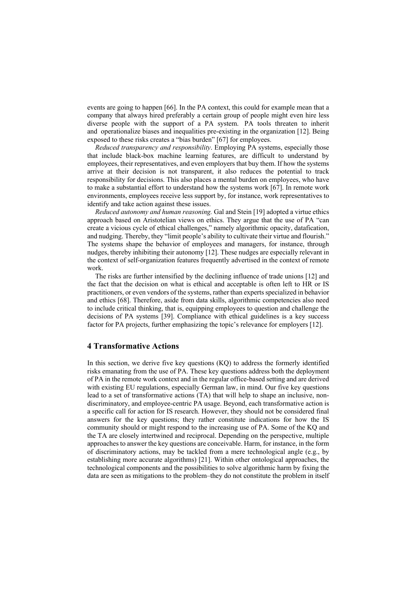events are going to happen [66]. In the PA context, this could for example mean that a company that always hired preferably a certain group of people might even hire less diverse people with the support of a PA system. PA tools threaten to inherit and operationalize biases and inequalities pre-existing in the organization [12]. Being exposed to these risks creates a "bias burden" [67] for employees.

*Reduced transparency and responsibility*. Employing PA systems, especially those that include black-box machine learning features, are difficult to understand by employees, their representatives, and even employers that buy them. If how the systems arrive at their decision is not transparent, it also reduces the potential to track responsibility for decisions. This also places a mental burden on employees, who have to make a substantial effort to understand how the systems work [67]. In remote work environments, employees receive less support by, for instance, work representatives to identify and take action against these issues.

*Reduced autonomy and human reasoning.* Gal and Stein [19] adopted a virtue ethics approach based on Aristotelian views on ethics. They argue that the use of PA "can create a vicious cycle of ethical challenges," namely algorithmic opacity, datafication, and nudging. Thereby, they "limit people's ability to cultivate their virtue and flourish." The systems shape the behavior of employees and managers, for instance, through nudges, thereby inhibiting their autonomy [12]. These nudges are especially relevant in the context of self-organization features frequently advertised in the context of remote work.

The risks are further intensified by the declining influence of trade unions [12] and the fact that the decision on what is ethical and acceptable is often left to HR or IS practitioners, or even vendors of the systems, rather than experts specialized in behavior and ethics [68]. Therefore, aside from data skills, algorithmic competencies also need to include critical thinking, that is, equipping employees to question and challenge the decisions of PA systems [39]. Compliance with ethical guidelines is a key success factor for PA projects, further emphasizing the topic's relevance for employers [12].

### **4 Transformative Actions**

In this section, we derive five key questions  $(KQ)$  to address the formerly identified risks emanating from the use of PA. These key questions address both the deployment of PA in the remote work context and in the regular office-based setting and are derived with existing EU regulations, especially German law, in mind. Our five key questions lead to a set of transformative actions (TA) that will help to shape an inclusive, nondiscriminatory, and employee-centric PA usage. Beyond, each transformative action is a specific call for action for IS research. However, they should not be considered final answers for the key questions; they rather constitute indications for how the IS community should or might respond to the increasing use of PA. Some of the KQ and the TA are closely intertwined and reciprocal. Depending on the perspective, multiple approaches to answer the key questions are conceivable. Harm, for instance, in the form of discriminatory actions, may be tackled from a mere technological angle (e.g., by establishing more accurate algorithms) [21]. Within other ontological approaches, the technological components and the possibilities to solve algorithmic harm by fixing the data are seen as mitigations to the problem–they do not constitute the problem in itself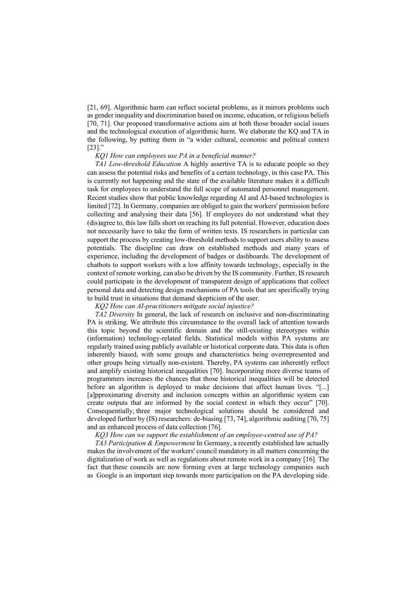[21, 69]. Algorithmic harm can reflect societal problems, as it mirrors problems such as gender inequality and discrimination based on income, education, or religious beliefs [70, 71]. Our proposed transformative actions aim at both those broader social issues and the technological execution of algorithmic harm. We elaborate the KQ and TA in the following, by putting them in "a wider cultural, economic and political context  $[23]$ ."

#### *KQ1 How can employees use PA in a beneficial manner?*

*TA1 Low-threshold Education* A highly assertive TA is to educate people so they can assess the potential risks and benefits of a certain technology, in this case PA. This is currently not happening and the state of the available literature makes it a difficult task for employees to understand the full scope of automated personnel management. Recent studies show that public knowledge regarding AI and AI-based technologies is limited [72]. In Germany, companies are obliged to gain the workers' permission before collecting and analysing their data [56]. If employees do not understand what they (dis)agree to, this law falls short on reaching its full potential. However, education does not necessarily have to take the form of written texts. IS researchers in particular can support the process by creating low-threshold methods to support users ability to assess potentials. The discipline can draw on established methods and many years of experience, including the development of badges or dashboards. The development of chatbots to support workers with a low affinity towards technology, especially in the context of remote working, can also be driven by the IS community. Further, IS research could participate in the development of transparent design of applications that collect personal data and detecting design mechanisms of PA tools that are specifically trying to build trust in situations that demand skepticism of the user.

*KQ2 How can AI-practitioners mitigate social injustice?*

*TA2 Diversity* In general, the lack of research on inclusive and non-discriminating PA is striking. We attribute this circumstance to the overall lack of attention towards this topic beyond the scientific domain and the still-existing stereotypes within (information) technology-related fields. Statistical models within PA systems are regularly trained using publicly available or historical corporate data. This data is often inherently biased, with some groups and characteristics being overrepresented and other groups being virtually non-existent. Thereby, PA systems can inherently reflect and amplify existing historical inequalities [70]. Incorporating more diverse teams of programmers increases the chances that those historical inequalities will be detected before an algorithm is deployed to make decisions that affect human lives. "[...] [a]pproximating diversity and inclusion concepts within an algorithmic system can create outputs that are informed by the social context in which they occur" [70]. Consequentially, three major technological solutions should be considered and developed further by (IS) researchers: de-biasing [73, 74], algorithmic auditing [70, 75] and an enhanced process of data collection [76].

*KQ3 How can we support the establishment of an employee-centred use of PA?*

*TA3 Participation & Empowerment* In Germany, a recently established law actually makes the involvement of the workers' council mandatory in all matters concerning the digitalization of work as well as regulations about remote work in a company [16]. The fact that these councils are now forming even at large technology companies such as Google is an important step towards more participation on the PA developing side.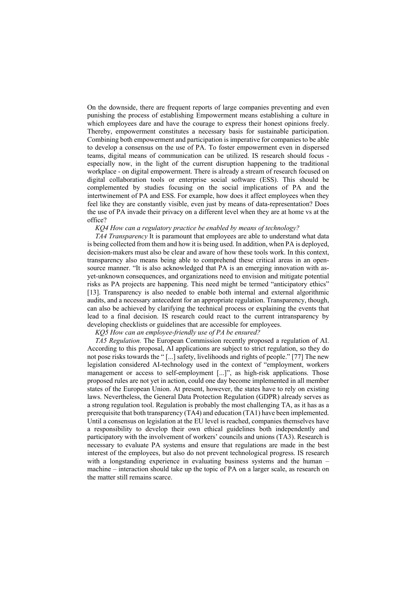On the downside, there are frequent reports of large companies preventing and even punishing the process of establishing Empowerment means establishing a culture in which employees dare and have the courage to express their honest opinions freely. Thereby, empowerment constitutes a necessary basis for sustainable participation. Combining both empowerment and participation is imperative for companies to be able to develop a consensus on the use of PA. To foster empowerment even in dispersed teams, digital means of communication can be utilized. IS research should focus especially now, in the light of the current disruption happening to the traditional workplace - on digital empowerment. There is already a stream of research focused on digital collaboration tools or enterprise social software (ESS). This should be complemented by studies focusing on the social implications of PA and the intertwinement of PA and ESS. For example, how does it affect employees when they feel like they are constantly visible, even just by means of data-representation? Does the use of PA invade their privacy on a different level when they are at home vs at the office?

#### *KQ4 How can a regulatory practice be enabled by means of technology?*

*TA4 Transparency* It is paramount that employees are able to understand what data is being collected from them and how it is being used. In addition, when PA is deployed, decision-makers must also be clear and aware of how these tools work. In this context, transparency also means being able to comprehend these critical areas in an opensource manner. "It is also acknowledged that PA is an emerging innovation with asyet-unknown consequences, and organizations need to envision and mitigate potential risks as PA projects are happening. This need might be termed "anticipatory ethics" [13]. Transparency is also needed to enable both internal and external algorithmic audits, and a necessary antecedent for an appropriate regulation. Transparency, though, can also be achieved by clarifying the technical process or explaining the events that lead to a final decision. IS research could react to the current intransparency by developing checklists or guidelines that are accessible for employees.

*KQ5 How can an employee-friendly use of PA be ensured?*

*TA5 Regulation.* The European Commission recently proposed a regulation of AI. According to this proposal, AI applications are subject to strict regulation, so they do not pose risks towards the " [...] safety, livelihoods and rights of people." [77] The new legislation considered AI-technology used in the context of "employment, workers management or access to self-employment [...]", as high-risk applications. Those proposed rules are not yet in action, could one day become implemented in all member states of the European Union. At present, however, the states have to rely on existing laws. Nevertheless, the General Data Protection Regulation (GDPR) already serves as a strong regulation tool. Regulation is probably the most challenging TA, as it has as a prerequisite that both transparency (TA4) and education (TA1) have been implemented. Until a consensus on legislation at the EU level is reached, companies themselves have a responsibility to develop their own ethical guidelines both independently and participatory with the involvement of workers' councils and unions (TA3). Research is necessary to evaluate PA systems and ensure that regulations are made in the best interest of the employees, but also do not prevent technological progress. IS research with a longstanding experience in evaluating business systems and the human – machine – interaction should take up the topic of PA on a larger scale, as research on the matter still remains scarce.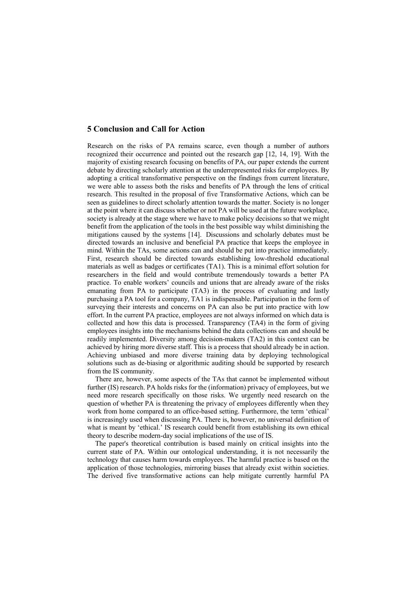## **5 Conclusion and Call for Action**

Research on the risks of PA remains scarce, even though a number of authors recognized their occurrence and pointed out the research gap [12, 14, 19]. With the majority of existing research focusing on benefits of PA, our paper extends the current debate by directing scholarly attention at the underrepresented risks for employees. By adopting a critical transformative perspective on the findings from current literature, we were able to assess both the risks and benefits of PA through the lens of critical research. This resulted in the proposal of five Transformative Actions, which can be seen as guidelines to direct scholarly attention towards the matter. Society is no longer at the point where it can discuss whether or not PA will be used at the future workplace, society is already at the stage where we have to make policy decisions so that we might benefit from the application of the tools in the best possible way whilst diminishing the mitigations caused by the systems [14]. Discussions and scholarly debates must be directed towards an inclusive and beneficial PA practice that keeps the employee in mind. Within the TAs, some actions can and should be put into practice immediately. First, research should be directed towards establishing low-threshold educational materials as well as badges or certificates (TA1). This is a minimal effort solution for researchers in the field and would contribute tremendously towards a better PA practice. To enable workers' councils and unions that are already aware of the risks emanating from PA to participate (TA3) in the process of evaluating and lastly purchasing a PA tool for a company, TA1 is indispensable. Participation in the form of surveying their interests and concerns on PA can also be put into practice with low effort. In the current PA practice, employees are not always informed on which data is collected and how this data is processed. Transparency (TA4) in the form of giving employees insights into the mechanisms behind the data collections can and should be readily implemented. Diversity among decision-makers (TA2) in this context can be achieved by hiring more diverse staff. This is a process that should already be in action. Achieving unbiased and more diverse training data by deploying technological solutions such as de-biasing or algorithmic auditing should be supported by research from the IS community.

There are, however, some aspects of the TAs that cannot be implemented without further (IS) research. PA holds risks for the (information) privacy of employees, but we need more research specifically on those risks. We urgently need research on the question of whether PA is threatening the privacy of employees differently when they work from home compared to an office-based setting. Furthermore, the term 'ethical' is increasingly used when discussing PA. There is, however, no universal definition of what is meant by 'ethical.' IS research could benefit from establishing its own ethical theory to describe modern-day social implications of the use of IS.

The paper's theoretical contribution is based mainly on critical insights into the current state of PA. Within our ontological understanding, it is not necessarily the technology that causes harm towards employees. The harmful practice is based on the application of those technologies, mirroring biases that already exist within societies. The derived five transformative actions can help mitigate currently harmful PA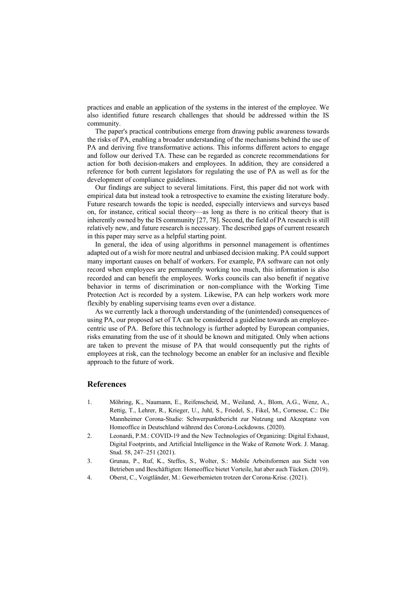practices and enable an application of the systems in the interest of the employee. We also identified future research challenges that should be addressed within the IS community.

The paper's practical contributions emerge from drawing public awareness towards the risks of PA, enabling a broader understanding of the mechanisms behind the use of PA and deriving five transformative actions. This informs different actors to engage and follow our derived TA. These can be regarded as concrete recommendations for action for both decision-makers and employees. In addition, they are considered a reference for both current legislators for regulating the use of PA as well as for the development of compliance guidelines.

Our findings are subject to several limitations. First, this paper did not work with empirical data but instead took a retrospective to examine the existing literature body. Future research towards the topic is needed, especially interviews and surveys based on, for instance, critical social theory—as long as there is no critical theory that is inherently owned by the IS community [27, 78]. Second, the field of PA research is still relatively new, and future research is necessary. The described gaps of current research in this paper may serve as a helpful starting point.

In general, the idea of using algorithms in personnel management is oftentimes adapted out of a wish for more neutral and unbiased decision making. PA could support many important causes on behalf of workers. For example, PA software can not only record when employees are permanently working too much, this information is also recorded and can benefit the employees. Works councils can also benefit if negative behavior in terms of discrimination or non-compliance with the Working Time Protection Act is recorded by a system. Likewise, PA can help workers work more flexibly by enabling supervising teams even over a distance.

As we currently lack a thorough understanding of the (unintended) consequences of using PA, our proposed set of TA can be considered a guideline towards an employeecentric use of PA. Before this technology is further adopted by European companies, risks emanating from the use of it should be known and mitigated. Only when actions are taken to prevent the misuse of PA that would consequently put the rights of employees at risk, can the technology become an enabler for an inclusive and flexible approach to the future of work.

#### **References**

- 1. Möhring, K., Naumann, E., Reifenscheid, M., Weiland, A., Blom, A.G., Wenz, A., Rettig, T., Lehrer, R., Krieger, U., Juhl, S., Friedel, S., Fikel, M., Cornesse, C.: Die Mannheimer Corona-Studie: Schwerpunktbericht zur Nutzung und Akzeptanz von Homeoffice in Deutschland während des Corona-Lockdowns. (2020).
- 2. Leonardi, P.M.: COVID‐19 and the New Technologies of Organizing: Digital Exhaust, Digital Footprints, and Artificial Intelligence in the Wake of Remote Work. J. Manag. Stud. 58, 247–251 (2021).
- 3. Grunau, P., Ruf, K., Steffes, S., Wolter, S.: Mobile Arbeitsformen aus Sicht von Betrieben und Beschäftigten: Homeoffice bietet Vorteile, hat aber auch Tücken. (2019).
- 4. Oberst, C., Voigtländer, M.: Gewerbemieten trotzen der Corona-Krise. (2021).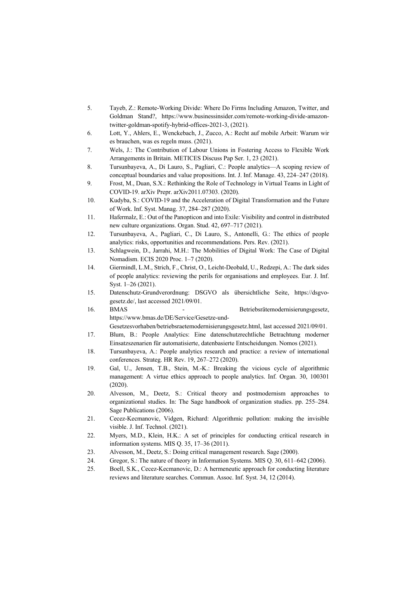- 5. Tayeb, Z.: Remote-Working Divide: Where Do Firms Including Amazon, Twitter, and Goldman Stand?, https://www.businessinsider.com/remote-working-divide-amazontwitter-goldman-spotify-hybrid-offices-2021-3, (2021).
- 6. Lott, Y., Ahlers, E., Wenckebach, J., Zucco, A.: Recht auf mobile Arbeit: Warum wir es brauchen, was es regeln muss. (2021).
- 7. Wels, J.: The Contribution of Labour Unions in Fostering Access to Flexible Work Arrangements in Britain. METICES Discuss Pap Ser. 1, 23 (2021).
- 8. Tursunbayeva, A., Di Lauro, S., Pagliari, C.: People analytics—A scoping review of conceptual boundaries and value propositions. Int. J. Inf. Manage. 43, 224–247 (2018).
- 9. Frost, M., Duan, S.X.: Rethinking the Role of Technology in Virtual Teams in Light of COVID-19. arXiv Prepr. arXiv2011.07303. (2020).
- 10. Kudyba, S.: COVID-19 and the Acceleration of Digital Transformation and the Future of Work. Inf. Syst. Manag. 37, 284–287 (2020).
- 11. Hafermalz, E.: Out of the Panopticon and into Exile: Visibility and control in distributed new culture organizations. Organ. Stud. 42, 697–717 (2021).
- 12. Tursunbayeva, A., Pagliari, C., Di Lauro, S., Antonelli, G.: The ethics of people analytics: risks, opportunities and recommendations. Pers. Rev. (2021).
- 13. Schlagwein, D., Jarrahi, M.H.: The Mobilities of Digital Work: The Case of Digital Nomadism. ECIS 2020 Proc. 1–7 (2020).
- 14. Giermindl, L.M., Strich, F., Christ, O., Leicht-Deobald, U., Redzepi, A.: The dark sides of people analytics: reviewing the perils for organisations and employees. Eur. J. Inf. Syst. 1–26 (2021).
- 15. Datenschutz-Grundverordnung: DSGVO als übersichtliche Seite, https://dsgvogesetz.de/, last accessed 2021/09/01.
- 16. BMAS Betriebsrätemodernisierungsgesetz, https://www.bmas.de/DE/Service/Gesetze-und-Gesetzesvorhaben/betriebsraetemodernisierungsgesetz.html, last accessed 2021/09/01.
- 17. Blum, B.: People Analytics: Eine datenschutzrechtliche Betrachtung moderner Einsatzszenarien für automatisierte, datenbasierte Entscheidungen. Nomos (2021).
- 18. Tursunbayeva, A.: People analytics research and practice: a review of international conferences. Strateg. HR Rev. 19, 267–272 (2020).
- 19. Gal, U., Jensen, T.B., Stein, M.-K.: Breaking the vicious cycle of algorithmic management: A virtue ethics approach to people analytics. Inf. Organ. 30, 100301 (2020).
- 20. Alvesson, M., Deetz, S.: Critical theory and postmodernism approaches to organizational studies. In: The Sage handbook of organization studies. pp. 255–284. Sage Publications (2006).
- 21. Cecez-Kecmanovic, Vidgen, Richard: Algorithmic pollution: making the invisible visible. J. Inf. Technol. (2021).
- 22. Myers, M.D., Klein, H.K.: A set of principles for conducting critical research in information systems. MIS Q. 35, 17–36 (2011).
- 23. Alvesson, M., Deetz, S.: Doing critical management research. Sage (2000).
- 24. Gregor, S.: The nature of theory in Information Systems. MIS Q. 30, 611–642 (2006).
- 25. Boell, S.K., Cecez-Kecmanovic, D.: A hermeneutic approach for conducting literature reviews and literature searches. Commun. Assoc. Inf. Syst. 34, 12 (2014).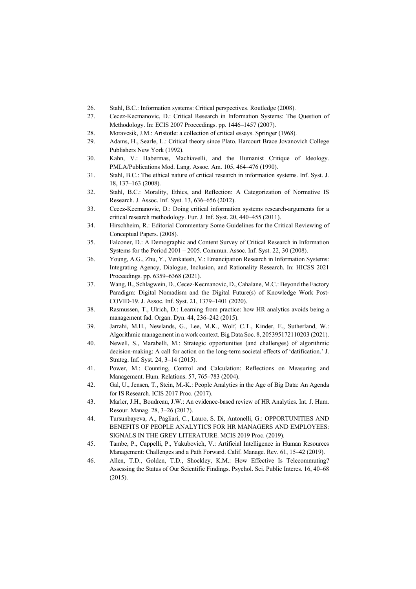- 26. Stahl, B.C.: Information systems: Critical perspectives. Routledge (2008).
- 27. Cecez-Kecmanovic, D.: Critical Research in Information Systems: The Question of Methodology. In: ECIS 2007 Proceedings. pp. 1446–1457 (2007).
- 28. Moravcsik, J.M.: Aristotle: a collection of critical essays. Springer (1968).
- 29. Adams, H., Searle, L.: Critical theory since Plato. Harcourt Brace Jovanovich College Publishers New York (1992).
- 30. Kahn, V.: Habermas, Machiavelli, and the Humanist Critique of Ideology. PMLA/Publications Mod. Lang. Assoc. Am. 105, 464–476 (1990).
- 31. Stahl, B.C.: The ethical nature of critical research in information systems. Inf. Syst. J. 18, 137–163 (2008).
- 32. Stahl, B.C.: Morality, Ethics, and Reflection: A Categorization of Normative IS Research. J. Assoc. Inf. Syst. 13, 636–656 (2012).
- 33. Cecez-Kecmanovic, D.: Doing critical information systems research-arguments for a critical research methodology. Eur. J. Inf. Syst. 20, 440–455 (2011).
- 34. Hirschheim, R.: Editorial Commentary Some Guidelines for the Critical Reviewing of Conceptual Papers. (2008).
- 35. Falconer, D.: A Demographic and Content Survey of Critical Research in Information Systems for the Period 2001 – 2005. Commun. Assoc. Inf. Syst. 22, 30 (2008).
- 36. Young, A.G., Zhu, Y., Venkatesh, V.: Emancipation Research in Information Systems: Integrating Agency, Dialogue, Inclusion, and Rationality Research. In: HICSS 2021 Proceedings. pp. 6359–6368 (2021).
- 37. Wang, B., Schlagwein, D., Cecez-Kecmanovic, D., Cahalane, M.C.: Beyond the Factory Paradigm: Digital Nomadism and the Digital Future(s) of Knowledge Work Post-COVID-19. J. Assoc. Inf. Syst. 21, 1379–1401 (2020).
- 38. Rasmussen, T., Ulrich, D.: Learning from practice: how HR analytics avoids being a management fad. Organ. Dyn. 44, 236–242 (2015).
- 39. Jarrahi, M.H., Newlands, G., Lee, M.K., Wolf, C.T., Kinder, E., Sutherland, W.: Algorithmic management in a work context. Big Data Soc. 8, 205395172110203 (2021).
- 40. Newell, S., Marabelli, M.: Strategic opportunities (and challenges) of algorithmic decision-making: A call for action on the long-term societal effects of 'datification.' J. Strateg. Inf. Syst. 24, 3–14 (2015).
- 41. Power, M.: Counting, Control and Calculation: Reflections on Measuring and Management. Hum. Relations. 57, 765–783 (2004).
- 42. Gal, U., Jensen, T., Stein, M.-K.: People Analytics in the Age of Big Data: An Agenda for IS Research. ICIS 2017 Proc. (2017).
- 43. Marler, J.H., Boudreau, J.W.: An evidence-based review of HR Analytics. Int. J. Hum. Resour. Manag. 28, 3–26 (2017).
- 44. Tursunbayeva, A., Pagliari, C., Lauro, S. Di, Antonelli, G.: OPPORTUNITIES AND BENEFITS OF PEOPLE ANALYTICS FOR HR MANAGERS AND EMPLOYEES: SIGNALS IN THE GREY LITERATURE. MCIS 2019 Proc. (2019).
- 45. Tambe, P., Cappelli, P., Yakubovich, V.: Artificial Intelligence in Human Resources Management: Challenges and a Path Forward. Calif. Manage. Rev. 61, 15–42 (2019).
- 46. Allen, T.D., Golden, T.D., Shockley, K.M.: How Effective Is Telecommuting? Assessing the Status of Our Scientific Findings. Psychol. Sci. Public Interes. 16, 40–68 (2015).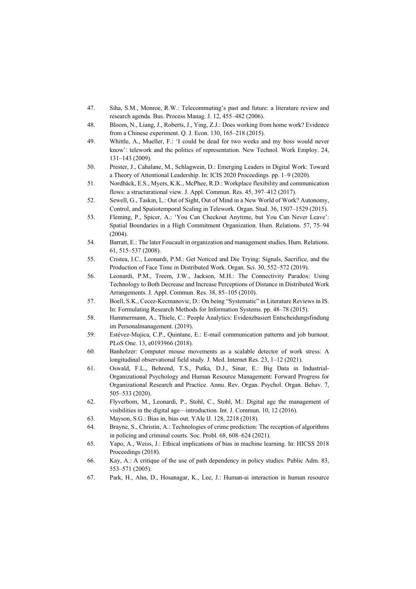- 47. Siha, S.M., Monroe, R.W.: Telecommuting's past and future: a literature review and research agenda. Bus. Process Manag. J. 12, 455–482 (2006).
- 48. Bloom, N., Liang, J., Roberts, J., Ying, Z.J.: Does working from home work? Evidence from a Chinese experiment. Q. J. Econ. 130, 165–218 (2015).
- 49. Whittle, A., Mueller, F.: 'I could be dead for two weeks and my boss would never know': telework and the politics of representation. New Technol. Work Employ. 24, 131–143 (2009).
- 50. Prester, J., Cahalane, M., Schlagwein, D.: Emerging Leaders in Digital Work: Toward a Theory of Attentional Leadership. In: ICIS 2020 Proceedings. pp. 1–9 (2020).
- 51. Nordbäck, E.S., Myers, K.K., McPhee, R.D.: Workplace flexibility and communication flows: a structurational view. J. Appl. Commun. Res. 45, 397–412 (2017).
- 52. Sewell, G., Taskin, L.: Out of Sight, Out of Mind in a New World of Work? Autonomy, Control, and Spatiotemporal Scaling in Telework. Organ. Stud. 36, 1507–1529 (2015).
- 53. Fleming, P., Spicer, A.: 'You Can Checkout Anytime, but You Can Never Leave': Spatial Boundaries in a High Commitment Organization. Hum. Relations. 57, 75–94 (2004).
- 54. Barratt, E.: The later Foucault in organization and management studies. Hum. Relations. 61, 515–537 (2008).
- 55. Cristea, I.C., Leonardi, P.M.: Get Noticed and Die Trying: Signals, Sacrifice, and the Production of Face Time in Distributed Work. Organ. Sci. 30, 552–572 (2019).
- 56. Leonardi, P.M., Treem, J.W., Jackson, M.H.: The Connectivity Paradox: Using Technology to Both Decrease and Increase Perceptions of Distance in Distributed Work Arrangements. J. Appl. Commun. Res. 38, 85–105 (2010).
- 57. Boell, S.K., Cecez-Kecmanovic, D.: On being "Systematic" in Literature Reviews in IS. In: Formulating Research Methods for Information Systems. pp. 48–78 (2015).
- 58. Hammermann, A., Thiele, C.: People Analytics: Evidenzbasiert Entscheidungsfindung im Personalmanagement. (2019).
- 59. Estévez-Mujica, C.P., Quintane, E.: E-mail communication patterns and job burnout. PLoS One. 13, e0193966 (2018).
- 60. Banholzer: Computer mouse movements as a scalable detector of work stress: A longitudinal observational field study. J. Med. Internet Res. 23, 1–12 (2021).
- 61. Oswald, F.L., Behrend, T.S., Putka, D.J., Sinar, E.: Big Data in Industrial-Organizational Psychology and Human Resource Management: Forward Progress for Organizational Research and Practice. Annu. Rev. Organ. Psychol. Organ. Behav. 7, 505–533 (2020).
- 62. Flyverbom, M., Leonardi, P., Stohl, C., Stohl, M.: Digital age the management of visibilities in the digital age—introduction. Int. J. Commun. 10, 12 (2016).
- 63. Mayson, S.G.: Bias in, bias out. YAle lJ. 128, 2218 (2018).
- 64. Brayne, S., Christin, A.: Technologies of crime prediction: The reception of algorithms in policing and criminal courts. Soc. Probl. 68, 608–624 (2021).
- 65. Yapo, A., Weiss, J.: Ethical implications of bias in machine learning. In: HICSS 2018 Proceedings (2018).
- 66. Kay, A.: A critique of the use of path dependency in policy studies. Public Adm. 83, 553–571 (2005).
- 67. Park, H., Ahn, D., Hosanagar, K., Lee, J.: Human-ai interaction in human resource